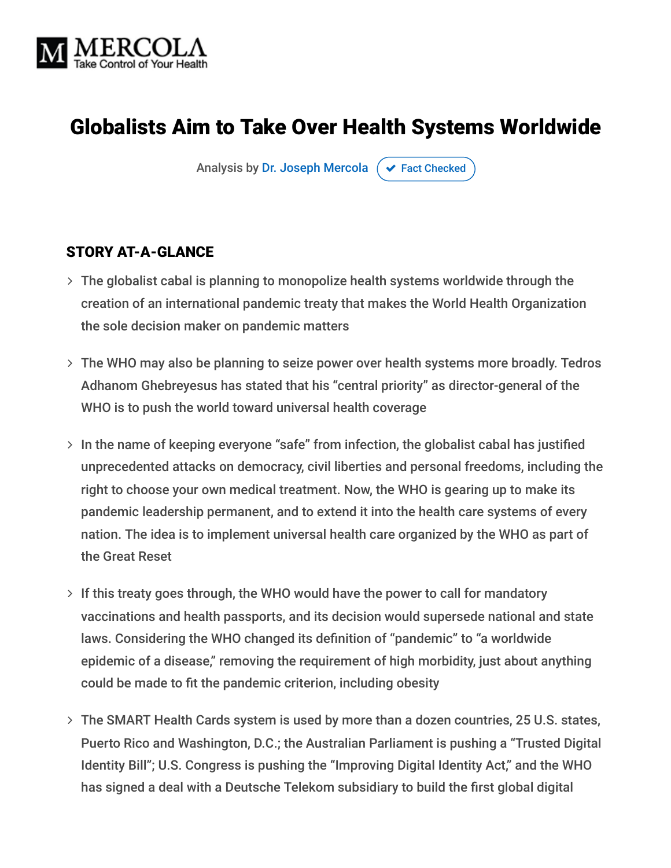

# Globalists Aim to Take Over Health Systems Worldwide

Analysis by [Dr. Joseph Mercola](https://www.mercola.com/forms/background.htm)  $\sigma$  [Fact Checked](javascript:void(0))

#### STORY AT-A-GLANCE

- The globalist cabal is planning to monopolize health systems worldwide through the creation of an international pandemic treaty that makes the World Health Organization the sole decision maker on pandemic matters
- The WHO may also be planning to seize power over health systems more broadly. Tedros Adhanom Ghebreyesus has stated that his "central priority" as director-general of the WHO is to push the world toward universal health coverage
- $>$  In the name of keeping everyone "safe" from infection, the globalist cabal has justified unprecedented attacks on democracy, civil liberties and personal freedoms, including the right to choose your own medical treatment. Now, the WHO is gearing up to make its pandemic leadership permanent, and to extend it into the health care systems of every nation. The idea is to implement universal health care organized by the WHO as part of the Great Reset
- $>$  If this treaty goes through, the WHO would have the power to call for mandatory vaccinations and health passports, and its decision would supersede national and state laws. Considering the WHO changed its definition of "pandemic" to "a worldwide epidemic of a disease," removing the requirement of high morbidity, just about anything could be made to fit the pandemic criterion, including obesity
- The SMART Health Cards system is used by more than a dozen countries, 25 U.S. states, Puerto Rico and Washington, D.C.; the Australian Parliament is pushing a "Trusted Digital Identity Bill"; U.S. Congress is pushing the "Improving Digital Identity Act," and the WHO has signed a deal with a Deutsche Telekom subsidiary to build the first global digital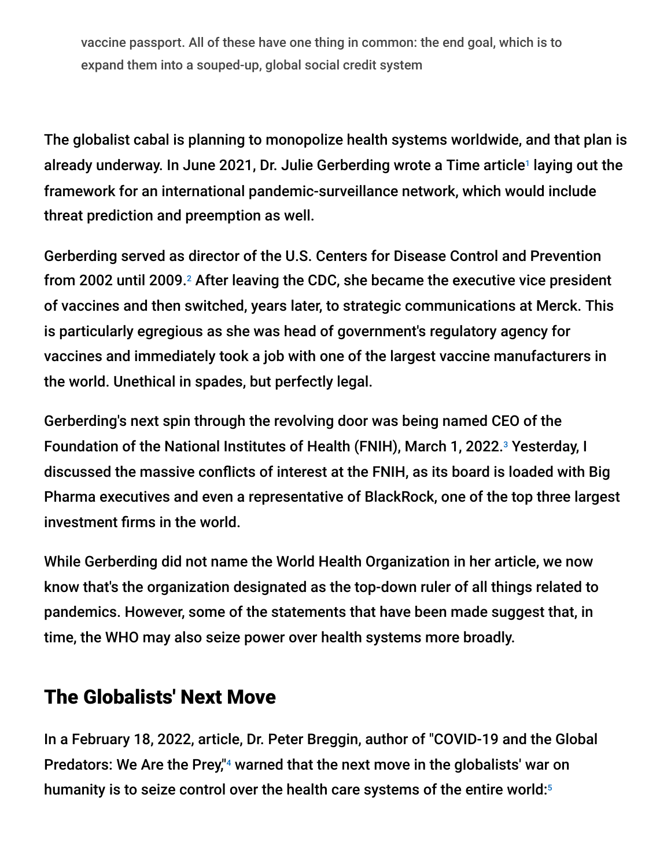vaccine passport. All of these have one thing in common: the end goal, which is to expand them into a souped-up, global social credit system

The globalist cabal is planning to monopolize health systems worldwide, and that plan is already underway. In June 2021, Dr. Julie Gerberding wrote a Time article<sup>1</sup> laying out the framework for an international pandemic-surveillance network, which would include threat prediction and preemption as well.

Gerberding served as director of the U.S. Centers for Disease Control and Prevention from 2002 until 2009. $2$  After leaving the CDC, she became the executive vice president of vaccines and then switched, years later, to strategic communications at Merck. This is particularly egregious as she was head of government's regulatory agency for vaccines and immediately took a job with one of the largest vaccine manufacturers in the world. Unethical in spades, but perfectly legal.

Gerberding's next spin through the revolving door was being named CEO of the Foundation of the National Institutes of Health (FNIH), March 1, 2022.<sup>3</sup> Yesterday, I discussed the massive conflicts of interest at the FNIH, as its board is loaded with Big Pharma executives and even a representative of BlackRock, one of the top three largest investment firms in the world.

While Gerberding did not name the World Health Organization in her article, we now know that's the organization designated as the top-down ruler of all things related to pandemics. However, some of the statements that have been made suggest that, in time, the WHO may also seize power over health systems more broadly.

#### The Globalists' Next Move

In a February 18, 2022, article, Dr. Peter Breggin, author of "COVID-19 and the Global Predators: We Are the Prey,"<sup>4</sup> warned that the next move in the globalists' war on humanity is to seize control over the health care systems of the entire world: ${}^5$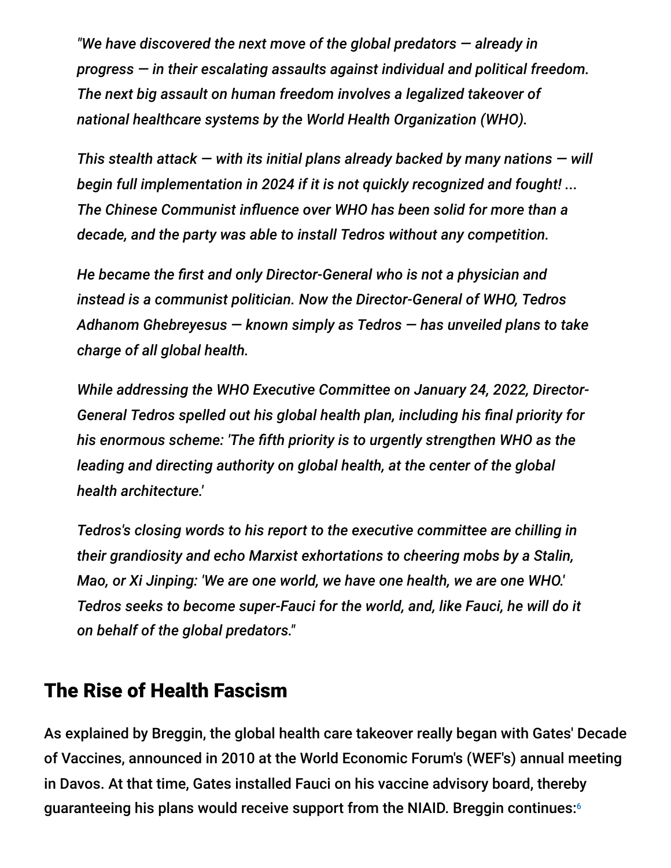*"We have discovered the next move of the global predators — already in progress — in their escalating assaults against individual and political freedom. The next big assault on human freedom involves a legalized takeover of national healthcare systems by the World Health Organization (WHO).*

*This stealth attack — with its initial plans already backed by many nations — will begin full implementation in 2024 if it is not quickly recognized and fought! ... The Chinese Communist influence over WHO has been solid for more than a decade, and the party was able to install Tedros without any competition.*

*He became the first and only Director-General who is not a physician and instead is a communist politician. Now the Director-General of WHO, Tedros Adhanom Ghebreyesus — known simply as Tedros — has unveiled plans to take charge of all global health.*

*While addressing the WHO Executive Committee on January 24, 2022, Director-General Tedros spelled out his global health plan, including his final priority for his enormous scheme: 'The fifth priority is to urgently strengthen WHO as the leading and directing authority on global health, at the center of the global health architecture.'*

*Tedros's closing words to his report to the executive committee are chilling in their grandiosity and echo Marxist exhortations to cheering mobs by a Stalin, Mao, or Xi Jinping: 'We are one world, we have one health, we are one WHO.' Tedros seeks to become super-Fauci for the world, and, like Fauci, he will do it on behalf of the global predators."*

#### The Rise of Health Fascism

As explained by Breggin, the global health care takeover really began with Gates' Decade of Vaccines, announced in 2010 at the World Economic Forum's (WEF's) annual meeting in Davos. At that time, Gates installed Fauci on his vaccine advisory board, thereby guaranteeing his plans would receive support from the NIAID. Breggin continues:6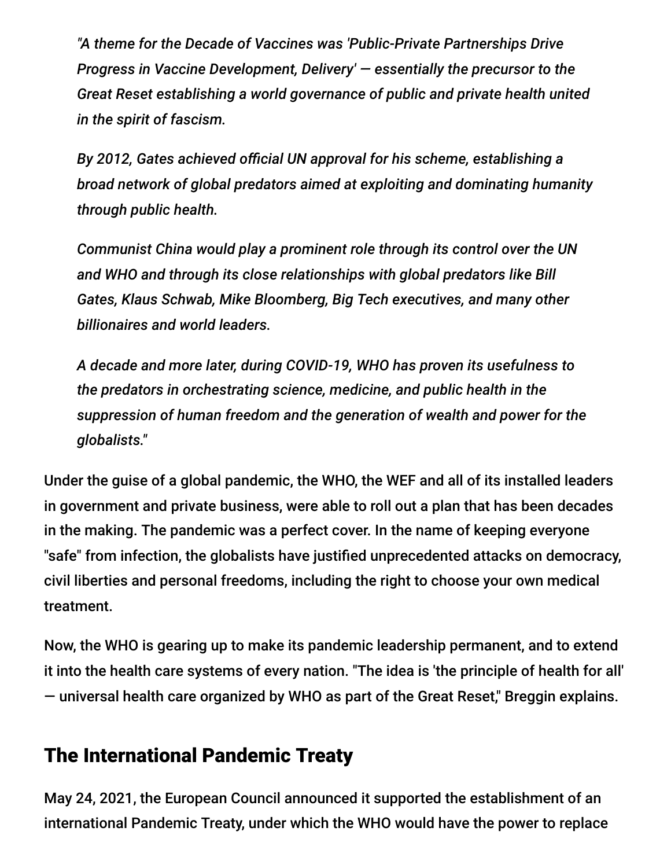*"A theme for the Decade of Vaccines was 'Public-Private Partnerships Drive Progress in Vaccine Development, Delivery' — essentially the precursor to the Great Reset establishing a world governance of public and private health united in the spirit of fascism.*

*By 2012, Gates achieved official UN approval for his scheme, establishing a broad network of global predators aimed at exploiting and dominating humanity through public health.*

*Communist China would play a prominent role through its control over the UN and WHO and through its close relationships with global predators like Bill Gates, Klaus Schwab, Mike Bloomberg, Big Tech executives, and many other billionaires and world leaders.*

*A decade and more later, during COVID-19, WHO has proven its usefulness to the predators in orchestrating science, medicine, and public health in the suppression of human freedom and the generation of wealth and power for the globalists."*

Under the guise of a global pandemic, the WHO, the WEF and all of its installed leaders in government and private business, were able to roll out a plan that has been decades in the making. The pandemic was a perfect cover. In the name of keeping everyone "safe" from infection, the globalists have justified unprecedented attacks on democracy, civil liberties and personal freedoms, including the right to choose your own medical treatment.

Now, the WHO is gearing up to make its pandemic leadership permanent, and to extend it into the health care systems of every nation. "The idea is 'the principle of health for all' — universal health care organized by WHO as part of the Great Reset," Breggin explains.

## The International Pandemic Treaty

May 24, 2021, the European Council announced it supported the establishment of an international Pandemic Treaty, under which the WHO would have the power to replace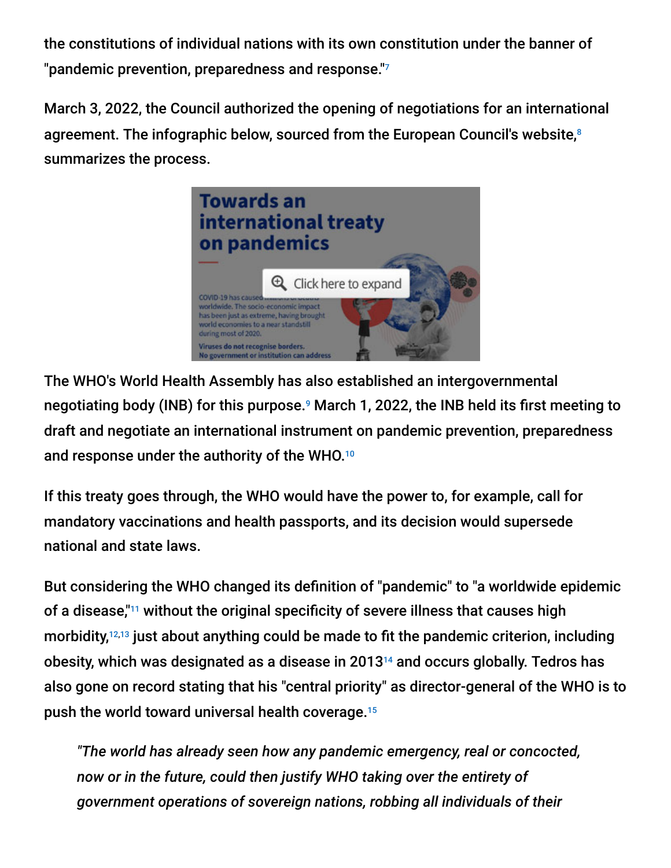the constitutions of individual nations with its own constitution under the banner of "pandemic prevention, preparedness and response." 7

March 3, 2022, the Council authorized the opening of negotiations for an international agreement. The infographic below, sourced from the European Council's website,<sup>8</sup> summarizes the process.



The WHO's World Health Assembly has also established an intergovernmental negotiating body (INB) for this purpose.<sup>9</sup> March 1, 2022, the INB held its first meeting to draft and negotiate an international instrument on pandemic prevention, preparedness and response under the authority of the WHO. 10

If this treaty goes through, the WHO would have the power to, for example, call for mandatory vaccinations and health passports, and its decision would supersede national and state laws.

But considering the WHO changed its definition of "pandemic" to "a worldwide epidemic of a disease,"<sup>11</sup> without the original specificity of severe illness that causes high morbidity, $12,13$  just about anything could be made to fit the pandemic criterion, including obesity, which was designated as a disease in 2013 $^{14}$  and occurs globally. Tedros has also gone on record stating that his "central priority" as director-general of the WHO is to push the world toward universal health coverage. 15

*"The world has already seen how any pandemic emergency, real or concocted, now or in the future, could then justify WHO taking over the entirety of government operations of sovereign nations, robbing all individuals of their*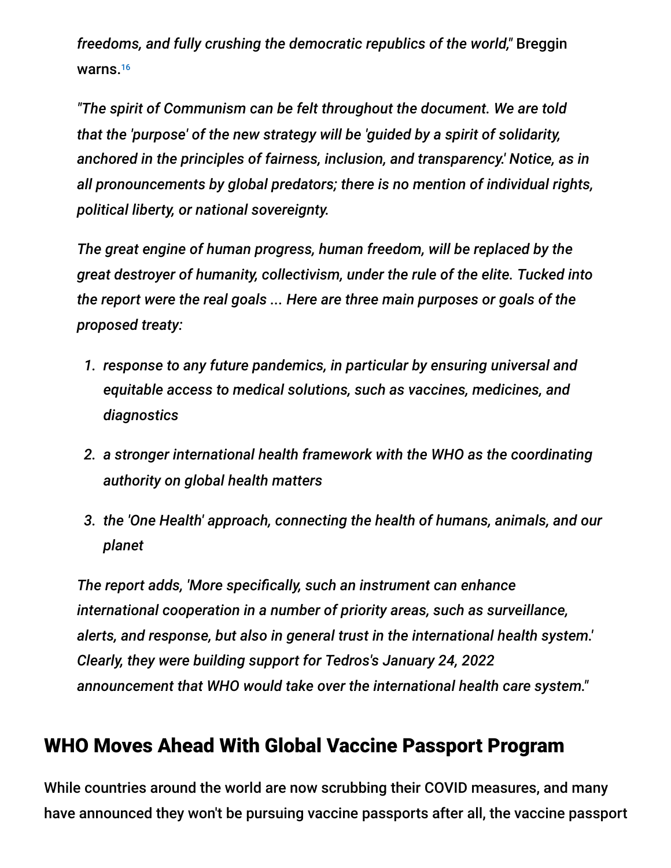*freedoms, and fully crushing the democratic republics of the world,"* Breggin warns. 16

*"The spirit of Communism can be felt throughout the document. We are told that the 'purpose' of the new strategy will be 'guided by a spirit of solidarity, anchored in the principles of fairness, inclusion, and transparency.' Notice, as in all pronouncements by global predators; there is no mention of individual rights, political liberty, or national sovereignty.*

*The great engine of human progress, human freedom, will be replaced by the great destroyer of humanity, collectivism, under the rule of the elite. Tucked into the report were the real goals ... Here are three main purposes or goals of the proposed treaty:*

- *1. response to any future pandemics, in particular by ensuring universal and equitable access to medical solutions, such as vaccines, medicines, and diagnostics*
- *2. a stronger international health framework with the WHO as the coordinating authority on global health matters*
- *3. the 'One Health' approach, connecting the health of humans, animals, and our planet*

*The report adds, 'More specifically, such an instrument can enhance international cooperation in a number of priority areas, such as surveillance, alerts, and response, but also in general trust in the international health system.' Clearly, they were building support for Tedros's January 24, 2022 announcement that WHO would take over the international health care system."*

## WHO Moves Ahead With Global Vaccine Passport Program

While countries around the world are now scrubbing their COVID measures, and many have announced they won't be pursuing vaccine passports after all, the vaccine passport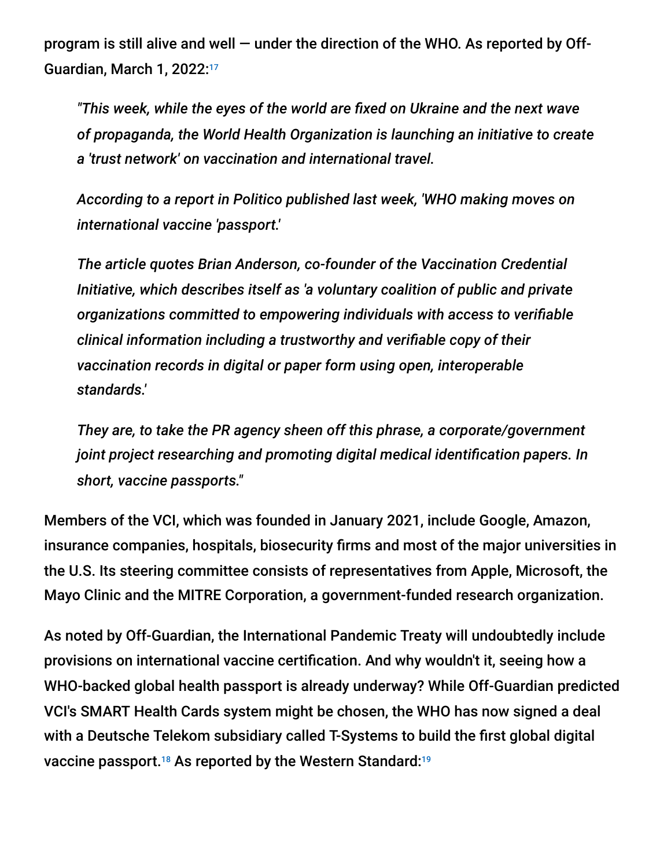program is still alive and well — under the direction of the WHO. As reported by Off-Guardian, March 1, 2022: 17

*"This week, while the eyes of the world are fixed on Ukraine and the next wave of propaganda, the World Health Organization is launching an initiative to create a 'trust network' on vaccination and international travel.*

*According to a report in Politico published last week, 'WHO making moves on international vaccine 'passport.'*

*The article quotes Brian Anderson, co-founder of the Vaccination Credential Initiative, which describes itself as 'a voluntary coalition of public and private organizations committed to empowering individuals with access to verifiable clinical information including a trustworthy and verifiable copy of their vaccination records in digital or paper form using open, interoperable standards.'*

*They are, to take the PR agency sheen off this phrase, a corporate/government joint project researching and promoting digital medical identification papers. In short, vaccine passports."*

Members of the VCI, which was founded in January 2021, include Google, Amazon, insurance companies, hospitals, biosecurity firms and most of the major universities in the U.S. Its steering committee consists of representatives from Apple, Microsoft, the Mayo Clinic and the MITRE Corporation, a government-funded research organization.

As noted by Off-Guardian, the International Pandemic Treaty will undoubtedly include provisions on international vaccine certification. And why wouldn't it, seeing how a WHO-backed global health passport is already underway? While Off-Guardian predicted VCI's SMART Health Cards system might be chosen, the WHO has now signed a deal with a Deutsche Telekom subsidiary called T-Systems to build the first global digital vaccine passport. $^{\text{18}}$  As reported by the Western Standard: $^{\text{19}}$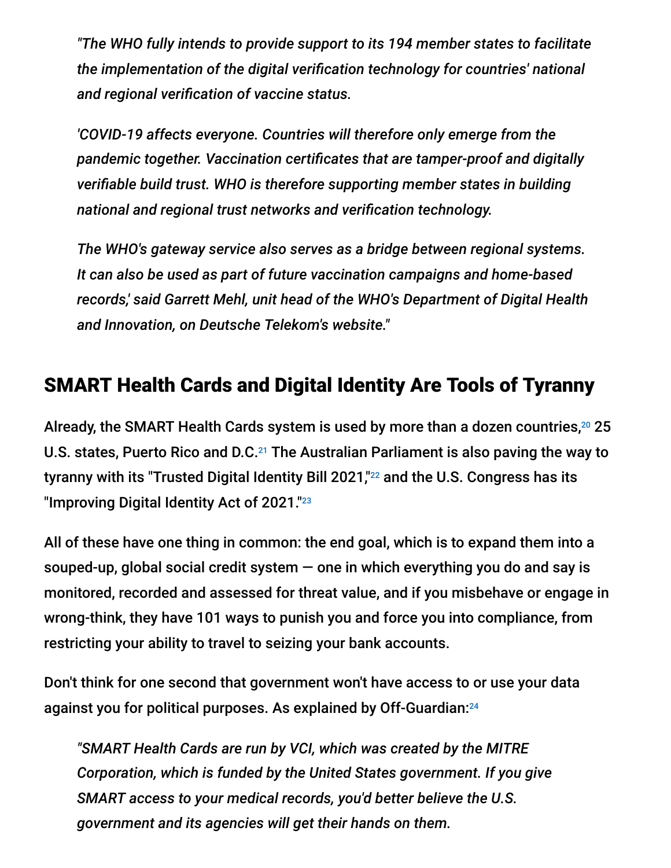*"The WHO fully intends to provide support to its 194 member states to facilitate the implementation of the digital verification technology for countries' national and regional verification of vaccine status.*

*'COVID-19 affects everyone. Countries will therefore only emerge from the pandemic together. Vaccination certificates that are tamper-proof and digitally verifiable build trust. WHO is therefore supporting member states in building national and regional trust networks and verification technology.*

*The WHO's gateway service also serves as a bridge between regional systems. It can also be used as part of future vaccination campaigns and home-based records,' said Garrett Mehl, unit head of the WHO's Department of Digital Health and Innovation, on Deutsche Telekom's website."*

## SMART Health Cards and Digital Identity Are Tools of Tyranny

Already, the SMART Health Cards system is used by more than a dozen countries, $^{20}$  25 U.S. states, Puerto Rico and D.C. $^{21}$  The Australian Parliament is also paving the way to tyranny with its "Trusted Digital Identity Bill 2021,"<sup>22</sup> and the U.S. Congress has its "Improving Digital Identity Act of 2021." 23

All of these have one thing in common: the end goal, which is to expand them into a souped-up, global social credit system  $-$  one in which everything you do and say is monitored, recorded and assessed for threat value, and if you misbehave or engage in wrong-think, they have 101 ways to punish you and force you into compliance, from restricting your ability to travel to seizing your bank accounts.

Don't think for one second that government won't have access to or use your data against you for political purposes. As explained by Off-Guardian: 24

*"SMART Health Cards are run by VCI, which was created by the MITRE Corporation, which is funded by the United States government. If you give SMART access to your medical records, you'd better believe the U.S. government and its agencies will get their hands on them.*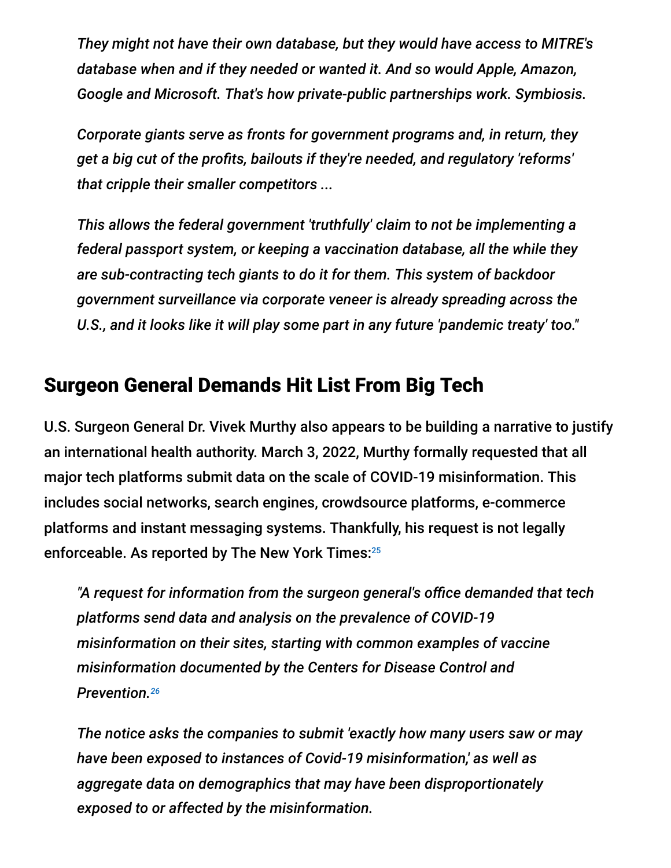*They might not have their own database, but they would have access to MITRE's database when and if they needed or wanted it. And so would Apple, Amazon, Google and Microsoft. That's how private-public partnerships work. Symbiosis.*

*Corporate giants serve as fronts for government programs and, in return, they get a big cut of the profits, bailouts if they're needed, and regulatory 'reforms' that cripple their smaller competitors ...*

*This allows the federal government 'truthfully' claim to not be implementing a federal passport system, or keeping a vaccination database, all the while they are sub-contracting tech giants to do it for them. This system of backdoor government surveillance via corporate veneer is already spreading across the U.S., and it looks like it will play some part in any future 'pandemic treaty' too."*

## Surgeon General Demands Hit List From Big Tech

U.S. Surgeon General Dr. Vivek Murthy also appears to be building a narrative to justify an international health authority. March 3, 2022, Murthy formally requested that all major tech platforms submit data on the scale of COVID-19 misinformation. This includes social networks, search engines, crowdsource platforms, e-commerce platforms and instant messaging systems. Thankfully, his request is not legally enforceable. As reported by The New York Times: 25

*"A request for information from the surgeon general's office demanded that tech platforms send data and analysis on the prevalence of COVID-19 misinformation on their sites, starting with common examples of vaccine misinformation documented by the Centers for Disease Control and Prevention. 26*

*The notice asks the companies to submit 'exactly how many users saw or may have been exposed to instances of Covid-19 misinformation,' as well as aggregate data on demographics that may have been disproportionately exposed to or affected by the misinformation.*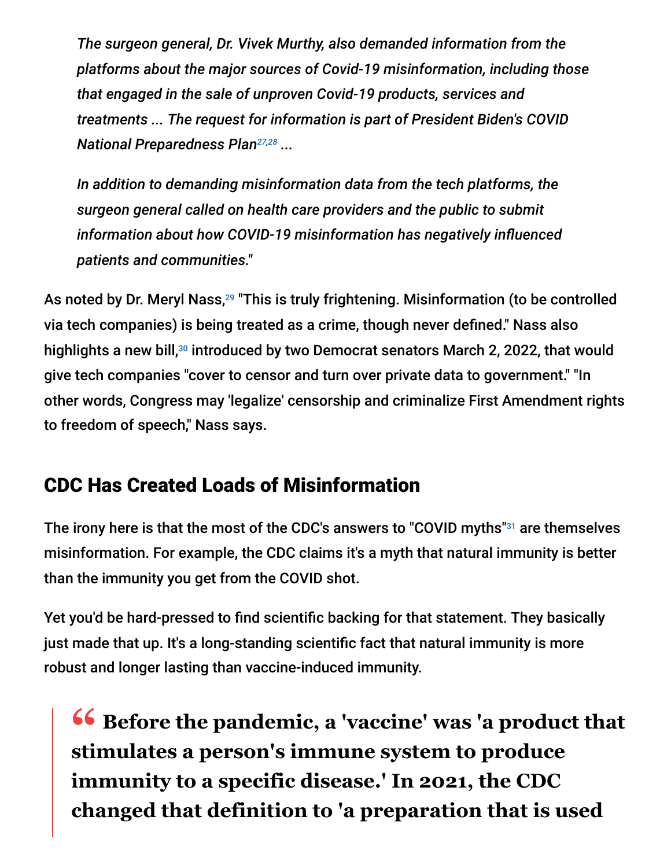*The surgeon general, Dr. Vivek Murthy, also demanded information from the platforms about the major sources of Covid-19 misinformation, including those that engaged in the sale of unproven Covid-19 products, services and treatments ... The request for information is part of President Biden's COVID National Preparedness Plan<sup>27,28</sup>* ...

*In addition to demanding misinformation data from the tech platforms, the surgeon general called on health care providers and the public to submit information about how COVID-19 misinformation has negatively influenced patients and communities."*

As noted by Dr. Meryl Nass,<sup>29</sup> "This is truly frightening. Misinformation (to be controlled via tech companies) is being treated as a crime, though never defined." Nass also highlights a new bill,<sup>30</sup> introduced by two Democrat senators March 2, 2022, that would give tech companies "cover to censor and turn over private data to government." "In other words, Congress may 'legalize' censorship and criminalize First Amendment rights to freedom of speech," Nass says.

## CDC Has Created Loads of Misinformation

The irony here is that the most of the CDC's answers to "COVID myths"<sup>31</sup> are themselves misinformation. For example, the CDC claims it's a myth that natural immunity is better than the immunity you get from the COVID shot.

Yet you'd be hard-pressed to find scientific backing for that statement. They basically just made that up. It's a long-standing scientific fact that natural immunity is more robust and longer lasting than vaccine-induced immunity.

**<sup>66</sup>** Before the pandemic, a 'vaccine' was 'a product that **show** a product that **stimulates a person's immune system to produce immunity to a specific disease.' In 2021, the CDC changed that definition to 'a preparation that is used**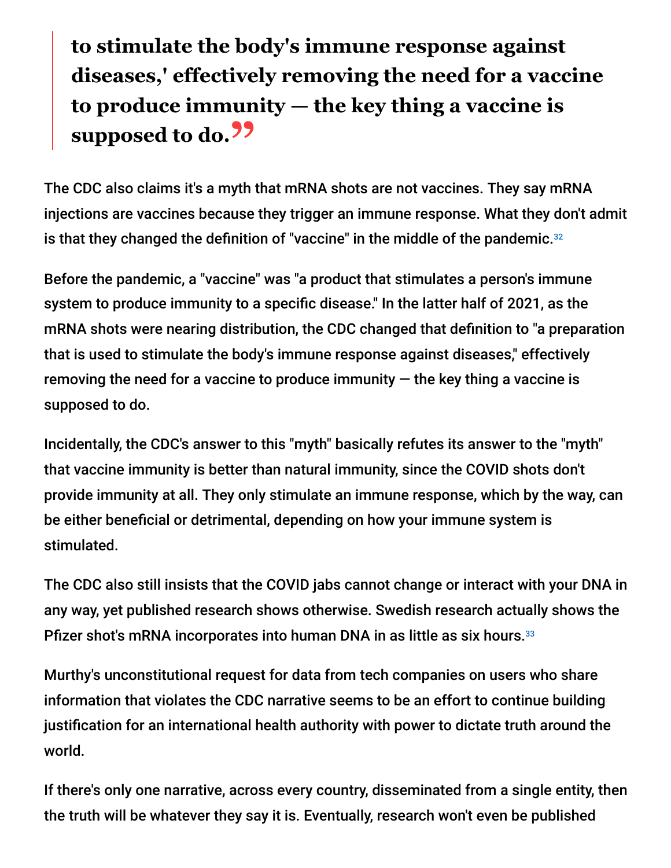# **to stimulate the body's immune response against diseases,' effectively removing the need for a vaccine to produce immunity — the key thing a vaccine is supposed to do.**<sup>99</sup>

The CDC also claims it's a myth that mRNA shots are not vaccines. They say mRNA injections are vaccines because they trigger an immune response. What they don't admit is that they changed the definition of "vaccine" in the middle of the pandemic. 32

Before the pandemic, a "vaccine" was "a product that stimulates a person's immune system to produce immunity to a specific disease." In the latter half of 2021, as the mRNA shots were nearing distribution, the CDC changed that definition to "a preparation that is used to stimulate the body's immune response against diseases," effectively removing the need for a vaccine to produce immunity  $-$  the key thing a vaccine is supposed to do.

Incidentally, the CDC's answer to this "myth" basically refutes its answer to the "myth" that vaccine immunity is better than natural immunity, since the COVID shots don't provide immunity at all. They only stimulate an immune response, which by the way, can be either beneficial or detrimental, depending on how your immune system is stimulated.

The CDC also still insists that the COVID jabs cannot change or interact with your DNA in any way, yet published research shows otherwise. Swedish research actually shows the Pfizer shot's mRNA incorporates into human DNA in as little as six hours.<sup>33</sup>

Murthy's unconstitutional request for data from tech companies on users who share information that violates the CDC narrative seems to be an effort to continue building justification for an international health authority with power to dictate truth around the world.

If there's only one narrative, across every country, disseminated from a single entity, then the truth will be whatever they say it is. Eventually, research won't even be published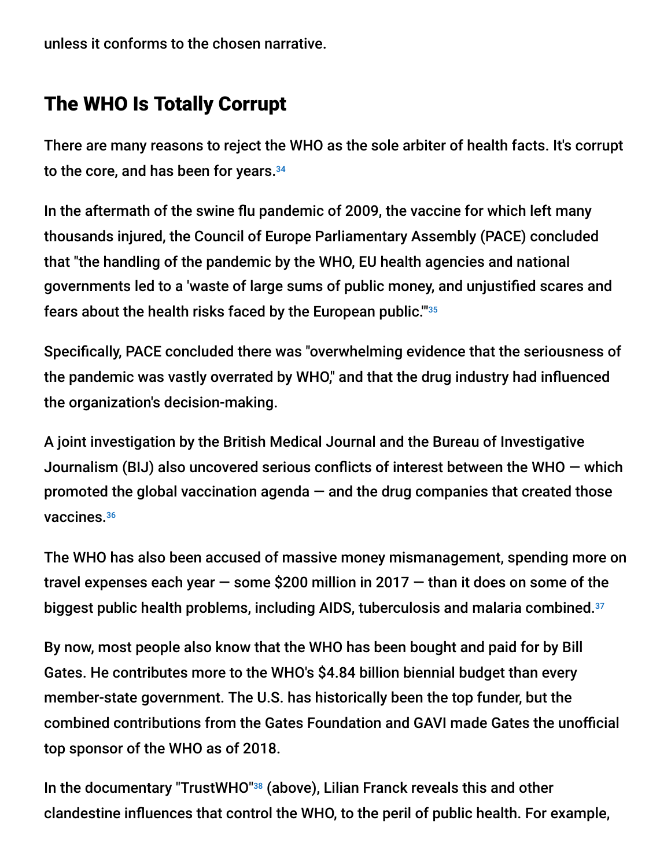unless it conforms to the chosen narrative.

#### The WHO Is Totally Corrupt

There are many reasons to reject the WHO as the sole arbiter of health facts. It's corrupt to the core, and has been for years. 34

In the aftermath of the swine flu pandemic of 2009, the vaccine for which left many thousands injured, the Council of Europe Parliamentary Assembly (PACE) concluded that "the handling of the pandemic by the WHO, EU health agencies and national governments led to a 'waste of large sums of public money, and unjustified scares and fears about the health risks faced by the European public.'" 35

Specifically, PACE concluded there was "overwhelming evidence that the seriousness of the pandemic was vastly overrated by WHO," and that the drug industry had influenced the organization's decision-making.

A joint investigation by the British Medical Journal and the Bureau of Investigative Journalism (BIJ) also uncovered serious conflicts of interest between the WHO — which promoted the global vaccination agenda  $-$  and the drug companies that created those vaccines. 36

The WHO has also been accused of massive money mismanagement, spending more on travel expenses each year  $-$  some \$200 million in 2017  $-$  than it does on some of the biggest public health problems, including AIDS, tuberculosis and malaria combined. 37

By now, most people also know that the WHO has been bought and paid for by Bill Gates. He contributes more to the WHO's \$4.84 billion biennial budget than every member-state government. The U.S. has historically been the top funder, but the combined contributions from the Gates Foundation and GAVI made Gates the unofficial top sponsor of the WHO as of 2018.

In the documentary "TrustWHO"<sup>38</sup> (above), Lilian Franck reveals this and other clandestine influences that control the WHO, to the peril of public health. For example,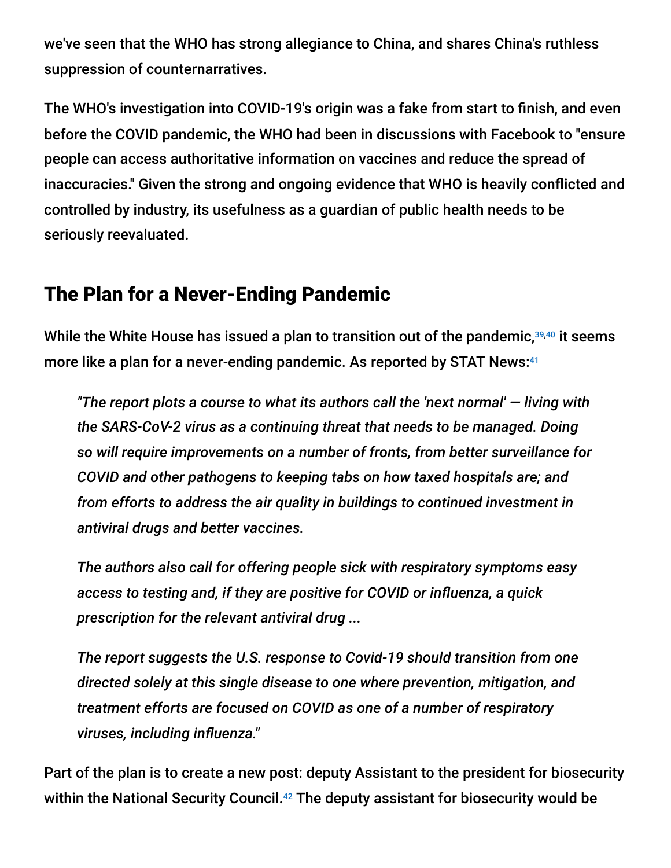we've seen that the WHO has strong allegiance to China, and shares China's ruthless suppression of counternarratives.

The WHO's investigation into COVID-19's origin was a fake from start to finish, and even before the COVID pandemic, the WHO had been in discussions with Facebook to "ensure people can access authoritative information on vaccines and reduce the spread of inaccuracies." Given the strong and ongoing evidence that WHO is heavily conflicted and controlled by industry, its usefulness as a guardian of public health needs to be seriously reevaluated.

#### The Plan for a Never-Ending Pandemic

While the White House has issued a plan to transition out of the pandemic, $39,40$  it seems more like a plan for a never-ending pandemic. As reported by STAT News: 41

*"The report plots a course to what its authors call the 'next normal' — living with the SARS-CoV-2 virus as a continuing threat that needs to be managed. Doing so will require improvements on a number of fronts, from better surveillance for COVID and other pathogens to keeping tabs on how taxed hospitals are; and from efforts to address the air quality in buildings to continued investment in antiviral drugs and better vaccines.*

*The authors also call for offering people sick with respiratory symptoms easy access to testing and, if they are positive for COVID or influenza, a quick prescription for the relevant antiviral drug ...*

*The report suggests the U.S. response to Covid-19 should transition from one directed solely at this single disease to one where prevention, mitigation, and treatment efforts are focused on COVID as one of a number of respiratory viruses, including influenza."*

Part of the plan is to create a new post: deputy Assistant to the president for biosecurity within the National Security Council.<sup>42</sup> The deputy assistant for biosecurity would be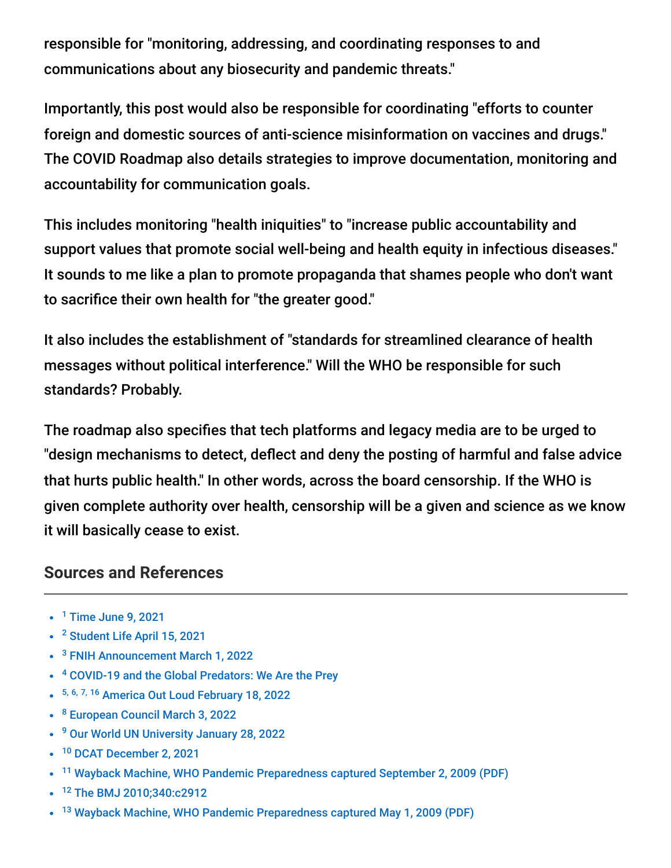responsible for "monitoring, addressing, and coordinating responses to and communications about any biosecurity and pandemic threats."

Importantly, this post would also be responsible for coordinating "efforts to counter foreign and domestic sources of anti-science misinformation on vaccines and drugs." The COVID Roadmap also details strategies to improve documentation, monitoring and accountability for communication goals.

This includes monitoring "health iniquities" to "increase public accountability and support values that promote social well-being and health equity in infectious diseases." It sounds to me like a plan to promote propaganda that shames people who don't want to sacrifice their own health for "the greater good."

It also includes the establishment of "standards for streamlined clearance of health messages without political interference." Will the WHO be responsible for such standards? Probably.

The roadmap also specifies that tech platforms and legacy media are to be urged to "design mechanisms to detect, deflect and deny the posting of harmful and false advice that hurts public health." In other words, across the board censorship. If the WHO is given complete authority over health, censorship will be a given and science as we know it will basically cease to exist.

#### **Sources and References**

- $<sup>1</sup>$  [Time June 9, 2021](https://time.com/6072104/pandemic-surveillance-network/)</sup>
- <sup>2</sup> [Student Life April 15, 2021](https://www.studlife.com/news/2021/04/15/dr-julie-gerberding-first-woman-director-of-cdc-to-be-commencement-speaker-for-class-of-2020/)
- <sup>3</sup> [FNIH Announcement March 1, 2022](https://www.fnih.org/news/press-releases/dr-julie-gerberding-named-chief-executive-officer-foundation-national)
- <sup>4</sup> [COVID-19 and the Global Predators: We Are the Prey](https://shop.americaoutloud.com/content/covid-19-and-global-predators-we-are-prey)
- 5, 6, 7, 16 [America Out Loud February 18, 2022](https://www.americaoutloud.com/tedros-introduces-globalist-plan-to-take-over-worlds-health-systems/)
- <sup>8</sup> [European Council March 3, 2022](https://www.consilium.europa.eu/en/infographics/towards-an-international-treaty-on-pandemics/)
- <sup>9</sup> [Our World UN University January 28, 2022](https://ourworld.unu.edu/en/the-world-health-assembly-special-session-and-the-pandemic-treaty-controversy)
- <sup>10</sup> [DCAT December 2, 2021](https://www.dcatvci.org/top-industry-news/who-agrees-to-start-talks-on-global-pandemic-treaty/#:~:text=The%20INB%20will%20hold%20its%20first%20meeting%20by,2022%20to%20discuss%20progress%20on%20a%20working%20draft.)
- <sup>11</sup> [Wayback Machine, WHO Pandemic Preparedness captured September 2, 2009 \(PDF\)](http://whale.to/vaccine/WHO2.pdf)
- <sup>12</sup> [The BMJ 2010;340:c2912](https://www.bmj.com/rapid-response/2011/11/02/who-changed-definition-influenza-pandemic)
- <sup>13</sup> [Wayback Machine, WHO Pandemic Preparedness captured May 1, 2009 \(PDF\)](http://whale.to/vaccine/WHO1.pdf)